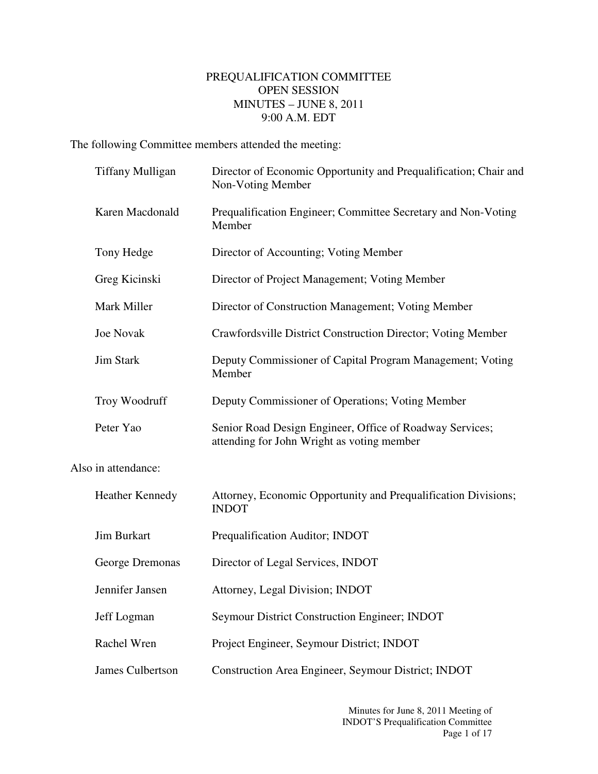## PREQUALIFICATION COMMITTEE OPEN SESSION MINUTES – JUNE 8, 2011 9:00 A.M. EDT

The following Committee members attended the meeting:

| <b>Tiffany Mulligan</b> | Director of Economic Opportunity and Prequalification; Chair and<br>Non-Voting Member                  |
|-------------------------|--------------------------------------------------------------------------------------------------------|
| Karen Macdonald         | Prequalification Engineer; Committee Secretary and Non-Voting<br>Member                                |
| Tony Hedge              | Director of Accounting; Voting Member                                                                  |
| Greg Kicinski           | Director of Project Management; Voting Member                                                          |
| Mark Miller             | Director of Construction Management; Voting Member                                                     |
| <b>Joe Novak</b>        | Crawfordsville District Construction Director; Voting Member                                           |
| <b>Jim Stark</b>        | Deputy Commissioner of Capital Program Management; Voting<br>Member                                    |
| Troy Woodruff           | Deputy Commissioner of Operations; Voting Member                                                       |
| Peter Yao               | Senior Road Design Engineer, Office of Roadway Services;<br>attending for John Wright as voting member |
| Also in attendance:     |                                                                                                        |
| <b>Heather Kennedy</b>  | Attorney, Economic Opportunity and Prequalification Divisions;<br><b>INDOT</b>                         |
| <b>Jim Burkart</b>      | Prequalification Auditor; INDOT                                                                        |
| George Dremonas         | Director of Legal Services, INDOT                                                                      |
| Jennifer Jansen         | Attorney, Legal Division; INDOT                                                                        |
| Jeff Logman             | Seymour District Construction Engineer; INDOT                                                          |
| Rachel Wren             | Project Engineer, Seymour District; INDOT                                                              |
| <b>James Culbertson</b> | Construction Area Engineer, Seymour District; INDOT                                                    |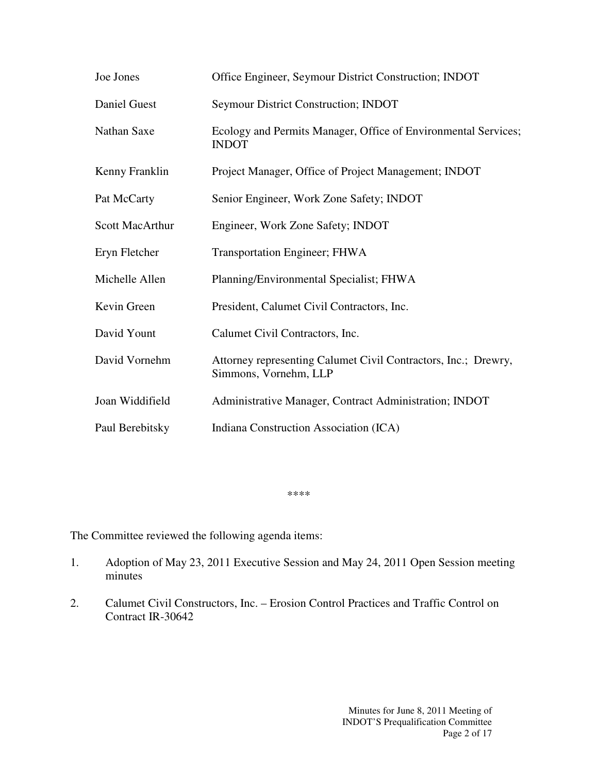| Joe Jones              | Office Engineer, Seymour District Construction; INDOT                                   |
|------------------------|-----------------------------------------------------------------------------------------|
| Daniel Guest           | <b>Seymour District Construction; INDOT</b>                                             |
| Nathan Saxe            | Ecology and Permits Manager, Office of Environmental Services;<br><b>INDOT</b>          |
| Kenny Franklin         | Project Manager, Office of Project Management; INDOT                                    |
| Pat McCarty            | Senior Engineer, Work Zone Safety; INDOT                                                |
| <b>Scott MacArthur</b> | Engineer, Work Zone Safety; INDOT                                                       |
| Eryn Fletcher          | <b>Transportation Engineer; FHWA</b>                                                    |
| Michelle Allen         | Planning/Environmental Specialist; FHWA                                                 |
| Kevin Green            | President, Calumet Civil Contractors, Inc.                                              |
| David Yount            | Calumet Civil Contractors, Inc.                                                         |
| David Vornehm          | Attorney representing Calumet Civil Contractors, Inc.; Drewry,<br>Simmons, Vornehm, LLP |
| Joan Widdifield        | Administrative Manager, Contract Administration; INDOT                                  |
| Paul Berebitsky        | Indiana Construction Association (ICA)                                                  |

\*\*\*\*

The Committee reviewed the following agenda items:

- 1. Adoption of May 23, 2011 Executive Session and May 24, 2011 Open Session meeting minutes
- 2. Calumet Civil Constructors, Inc. Erosion Control Practices and Traffic Control on Contract IR-30642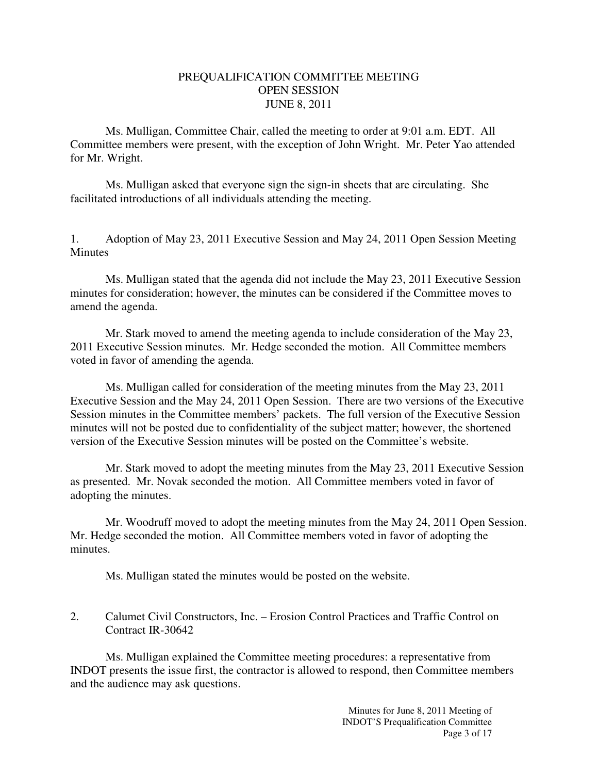## PREQUALIFICATION COMMITTEE MEETING OPEN SESSION JUNE 8, 2011

 Ms. Mulligan, Committee Chair, called the meeting to order at 9:01 a.m. EDT. All Committee members were present, with the exception of John Wright. Mr. Peter Yao attended for Mr. Wright.

Ms. Mulligan asked that everyone sign the sign-in sheets that are circulating. She facilitated introductions of all individuals attending the meeting.

1. Adoption of May 23, 2011 Executive Session and May 24, 2011 Open Session Meeting Minutes

 Ms. Mulligan stated that the agenda did not include the May 23, 2011 Executive Session minutes for consideration; however, the minutes can be considered if the Committee moves to amend the agenda.

 Mr. Stark moved to amend the meeting agenda to include consideration of the May 23, 2011 Executive Session minutes. Mr. Hedge seconded the motion. All Committee members voted in favor of amending the agenda.

Ms. Mulligan called for consideration of the meeting minutes from the May 23, 2011 Executive Session and the May 24, 2011 Open Session. There are two versions of the Executive Session minutes in the Committee members' packets. The full version of the Executive Session minutes will not be posted due to confidentiality of the subject matter; however, the shortened version of the Executive Session minutes will be posted on the Committee's website.

 Mr. Stark moved to adopt the meeting minutes from the May 23, 2011 Executive Session as presented. Mr. Novak seconded the motion. All Committee members voted in favor of adopting the minutes.

Mr. Woodruff moved to adopt the meeting minutes from the May 24, 2011 Open Session. Mr. Hedge seconded the motion. All Committee members voted in favor of adopting the minutes.

Ms. Mulligan stated the minutes would be posted on the website.

2. Calumet Civil Constructors, Inc. – Erosion Control Practices and Traffic Control on Contract IR-30642

 Ms. Mulligan explained the Committee meeting procedures: a representative from INDOT presents the issue first, the contractor is allowed to respond, then Committee members and the audience may ask questions.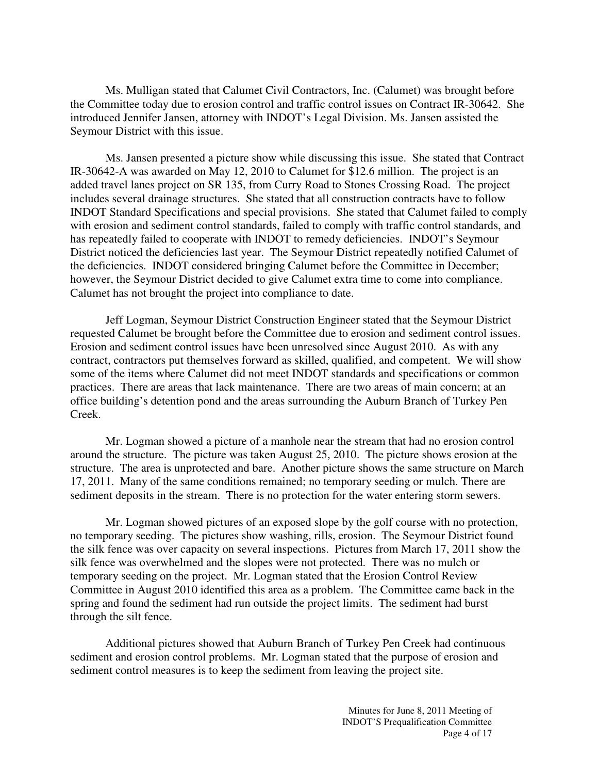Ms. Mulligan stated that Calumet Civil Contractors, Inc. (Calumet) was brought before the Committee today due to erosion control and traffic control issues on Contract IR-30642. She introduced Jennifer Jansen, attorney with INDOT's Legal Division. Ms. Jansen assisted the Seymour District with this issue.

Ms. Jansen presented a picture show while discussing this issue. She stated that Contract IR-30642-A was awarded on May 12, 2010 to Calumet for \$12.6 million. The project is an added travel lanes project on SR 135, from Curry Road to Stones Crossing Road. The project includes several drainage structures. She stated that all construction contracts have to follow INDOT Standard Specifications and special provisions. She stated that Calumet failed to comply with erosion and sediment control standards, failed to comply with traffic control standards, and has repeatedly failed to cooperate with INDOT to remedy deficiencies. INDOT's Seymour District noticed the deficiencies last year. The Seymour District repeatedly notified Calumet of the deficiencies. INDOT considered bringing Calumet before the Committee in December; however, the Seymour District decided to give Calumet extra time to come into compliance. Calumet has not brought the project into compliance to date.

Jeff Logman, Seymour District Construction Engineer stated that the Seymour District requested Calumet be brought before the Committee due to erosion and sediment control issues. Erosion and sediment control issues have been unresolved since August 2010. As with any contract, contractors put themselves forward as skilled, qualified, and competent. We will show some of the items where Calumet did not meet INDOT standards and specifications or common practices. There are areas that lack maintenance. There are two areas of main concern; at an office building's detention pond and the areas surrounding the Auburn Branch of Turkey Pen Creek.

Mr. Logman showed a picture of a manhole near the stream that had no erosion control around the structure. The picture was taken August 25, 2010. The picture shows erosion at the structure. The area is unprotected and bare. Another picture shows the same structure on March 17, 2011. Many of the same conditions remained; no temporary seeding or mulch. There are sediment deposits in the stream. There is no protection for the water entering storm sewers.

Mr. Logman showed pictures of an exposed slope by the golf course with no protection, no temporary seeding. The pictures show washing, rills, erosion. The Seymour District found the silk fence was over capacity on several inspections. Pictures from March 17, 2011 show the silk fence was overwhelmed and the slopes were not protected. There was no mulch or temporary seeding on the project. Mr. Logman stated that the Erosion Control Review Committee in August 2010 identified this area as a problem. The Committee came back in the spring and found the sediment had run outside the project limits. The sediment had burst through the silt fence.

Additional pictures showed that Auburn Branch of Turkey Pen Creek had continuous sediment and erosion control problems. Mr. Logman stated that the purpose of erosion and sediment control measures is to keep the sediment from leaving the project site.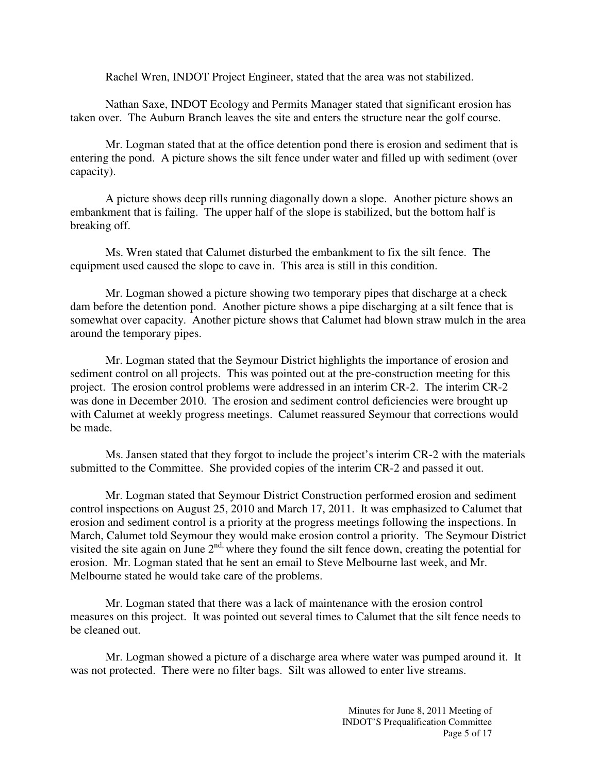Rachel Wren, INDOT Project Engineer, stated that the area was not stabilized.

Nathan Saxe, INDOT Ecology and Permits Manager stated that significant erosion has taken over. The Auburn Branch leaves the site and enters the structure near the golf course.

Mr. Logman stated that at the office detention pond there is erosion and sediment that is entering the pond. A picture shows the silt fence under water and filled up with sediment (over capacity).

A picture shows deep rills running diagonally down a slope. Another picture shows an embankment that is failing. The upper half of the slope is stabilized, but the bottom half is breaking off.

Ms. Wren stated that Calumet disturbed the embankment to fix the silt fence. The equipment used caused the slope to cave in. This area is still in this condition.

Mr. Logman showed a picture showing two temporary pipes that discharge at a check dam before the detention pond. Another picture shows a pipe discharging at a silt fence that is somewhat over capacity. Another picture shows that Calumet had blown straw mulch in the area around the temporary pipes.

Mr. Logman stated that the Seymour District highlights the importance of erosion and sediment control on all projects. This was pointed out at the pre-construction meeting for this project. The erosion control problems were addressed in an interim CR-2. The interim CR-2 was done in December 2010. The erosion and sediment control deficiencies were brought up with Calumet at weekly progress meetings. Calumet reassured Seymour that corrections would be made.

Ms. Jansen stated that they forgot to include the project's interim CR-2 with the materials submitted to the Committee. She provided copies of the interim CR-2 and passed it out.

Mr. Logman stated that Seymour District Construction performed erosion and sediment control inspections on August 25, 2010 and March 17, 2011. It was emphasized to Calumet that erosion and sediment control is a priority at the progress meetings following the inspections. In March, Calumet told Seymour they would make erosion control a priority. The Seymour District visited the site again on June  $2<sup>nd</sup>$ , where they found the silt fence down, creating the potential for erosion. Mr. Logman stated that he sent an email to Steve Melbourne last week, and Mr. Melbourne stated he would take care of the problems.

 Mr. Logman stated that there was a lack of maintenance with the erosion control measures on this project. It was pointed out several times to Calumet that the silt fence needs to be cleaned out.

 Mr. Logman showed a picture of a discharge area where water was pumped around it. It was not protected. There were no filter bags. Silt was allowed to enter live streams.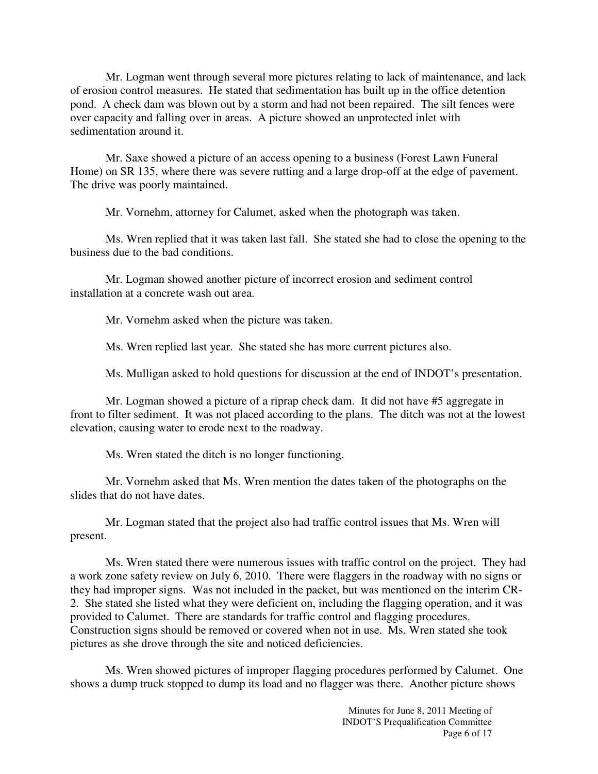Mr. Logman went through several more pictures relating to lack of maintenance, and lack of erosion control measures. He stated that sedimentation has built up in the office detention pond. A check dam was blown out by a storm and had not been repaired. The silt fences were over capacity and falling over in areas. A picture showed an unprotected inlet with sedimentation around it.

Mr. Saxe showed a picture of an access opening to a business (Forest Lawn Funeral Home) on SR 135, where there was severe rutting and a large drop-off at the edge of pavement. The drive was poorly maintained.

Mr. Vornehm, attorney for Calumet, asked when the photograph was taken.

Ms. Wren replied that it was taken last fall. She stated she had to close the opening to the business due to the bad conditions.

Mr. Logman showed another picture of incorrect erosion and sediment control installation at a concrete wash out area.

Mr. Vornehm asked when the picture was taken.

Ms. Wren replied last year. She stated she has more current pictures also.

Ms. Mulligan asked to hold questions for discussion at the end of INDOT's presentation.

Mr. Logman showed a picture of a riprap check dam. It did not have #5 aggregate in front to filter sediment. It was not placed according to the plans. The ditch was not at the lowest elevation, causing water to erode next to the roadway.

Ms. Wren stated the ditch is no longer functioning.

Mr. Vornehm asked that Ms. Wren mention the dates taken of the photographs on the slides that do not have dates.

Mr. Logman stated that the project also had traffic control issues that Ms. Wren will present.

Ms. Wren stated there were numerous issues with traffic control on the project. They had a work zone safety review on July 6, 2010. There were flaggers in the roadway with no signs or they had improper signs. Was not included in the packet, but was mentioned on the interim CR-2. She stated she listed what they were deficient on, including the flagging operation, and it was provided to Calumet. There are standards for traffic control and flagging procedures. Construction signs should be removed or covered when not in use. Ms. Wren stated she took pictures as she drove through the site and noticed deficiencies.

Ms. Wren showed pictures of improper flagging procedures performed by Calumet. One shows a dump truck stopped to dump its load and no flagger was there. Another picture shows

> Minutes for June 8, 2011 Meeting of INDOT'S Prequalification Committee Page 6 of 17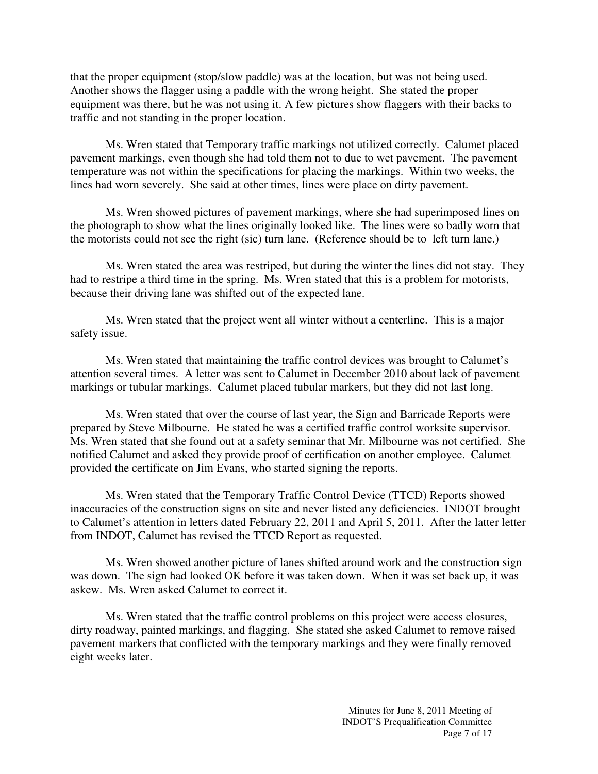that the proper equipment (stop/slow paddle) was at the location, but was not being used. Another shows the flagger using a paddle with the wrong height. She stated the proper equipment was there, but he was not using it. A few pictures show flaggers with their backs to traffic and not standing in the proper location.

Ms. Wren stated that Temporary traffic markings not utilized correctly. Calumet placed pavement markings, even though she had told them not to due to wet pavement. The pavement temperature was not within the specifications for placing the markings. Within two weeks, the lines had worn severely. She said at other times, lines were place on dirty pavement.

Ms. Wren showed pictures of pavement markings, where she had superimposed lines on the photograph to show what the lines originally looked like. The lines were so badly worn that the motorists could not see the right (sic) turn lane. (Reference should be to left turn lane.)

Ms. Wren stated the area was restriped, but during the winter the lines did not stay. They had to restripe a third time in the spring. Ms. Wren stated that this is a problem for motorists, because their driving lane was shifted out of the expected lane.

Ms. Wren stated that the project went all winter without a centerline. This is a major safety issue.

Ms. Wren stated that maintaining the traffic control devices was brought to Calumet's attention several times. A letter was sent to Calumet in December 2010 about lack of pavement markings or tubular markings. Calumet placed tubular markers, but they did not last long.

Ms. Wren stated that over the course of last year, the Sign and Barricade Reports were prepared by Steve Milbourne. He stated he was a certified traffic control worksite supervisor. Ms. Wren stated that she found out at a safety seminar that Mr. Milbourne was not certified. She notified Calumet and asked they provide proof of certification on another employee. Calumet provided the certificate on Jim Evans, who started signing the reports.

Ms. Wren stated that the Temporary Traffic Control Device (TTCD) Reports showed inaccuracies of the construction signs on site and never listed any deficiencies. INDOT brought to Calumet's attention in letters dated February 22, 2011 and April 5, 2011. After the latter letter from INDOT, Calumet has revised the TTCD Report as requested.

Ms. Wren showed another picture of lanes shifted around work and the construction sign was down. The sign had looked OK before it was taken down. When it was set back up, it was askew. Ms. Wren asked Calumet to correct it.

Ms. Wren stated that the traffic control problems on this project were access closures, dirty roadway, painted markings, and flagging. She stated she asked Calumet to remove raised pavement markers that conflicted with the temporary markings and they were finally removed eight weeks later.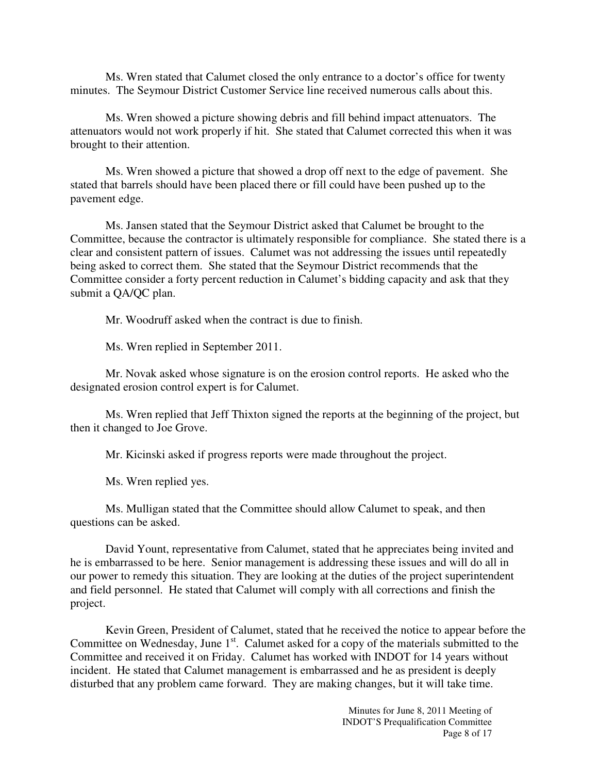Ms. Wren stated that Calumet closed the only entrance to a doctor's office for twenty minutes. The Seymour District Customer Service line received numerous calls about this.

Ms. Wren showed a picture showing debris and fill behind impact attenuators. The attenuators would not work properly if hit. She stated that Calumet corrected this when it was brought to their attention.

Ms. Wren showed a picture that showed a drop off next to the edge of pavement. She stated that barrels should have been placed there or fill could have been pushed up to the pavement edge.

Ms. Jansen stated that the Seymour District asked that Calumet be brought to the Committee, because the contractor is ultimately responsible for compliance. She stated there is a clear and consistent pattern of issues. Calumet was not addressing the issues until repeatedly being asked to correct them. She stated that the Seymour District recommends that the Committee consider a forty percent reduction in Calumet's bidding capacity and ask that they submit a QA/QC plan.

Mr. Woodruff asked when the contract is due to finish.

Ms. Wren replied in September 2011.

Mr. Novak asked whose signature is on the erosion control reports. He asked who the designated erosion control expert is for Calumet.

Ms. Wren replied that Jeff Thixton signed the reports at the beginning of the project, but then it changed to Joe Grove.

Mr. Kicinski asked if progress reports were made throughout the project.

Ms. Wren replied yes.

Ms. Mulligan stated that the Committee should allow Calumet to speak, and then questions can be asked.

David Yount, representative from Calumet, stated that he appreciates being invited and he is embarrassed to be here. Senior management is addressing these issues and will do all in our power to remedy this situation. They are looking at the duties of the project superintendent and field personnel. He stated that Calumet will comply with all corrections and finish the project.

Kevin Green, President of Calumet, stated that he received the notice to appear before the Committee on Wednesday, June  $1<sup>st</sup>$ . Calumet asked for a copy of the materials submitted to the Committee and received it on Friday. Calumet has worked with INDOT for 14 years without incident. He stated that Calumet management is embarrassed and he as president is deeply disturbed that any problem came forward. They are making changes, but it will take time.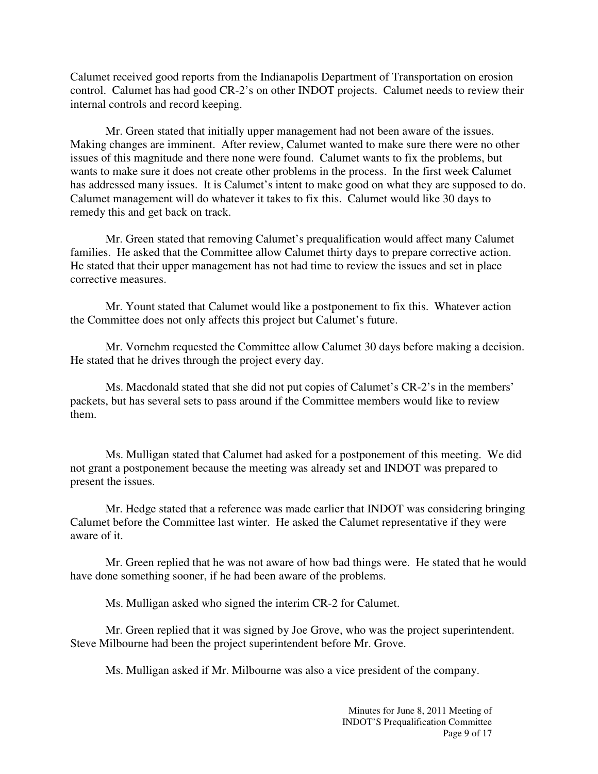Calumet received good reports from the Indianapolis Department of Transportation on erosion control. Calumet has had good CR-2's on other INDOT projects. Calumet needs to review their internal controls and record keeping.

Mr. Green stated that initially upper management had not been aware of the issues. Making changes are imminent. After review, Calumet wanted to make sure there were no other issues of this magnitude and there none were found. Calumet wants to fix the problems, but wants to make sure it does not create other problems in the process. In the first week Calumet has addressed many issues. It is Calumet's intent to make good on what they are supposed to do. Calumet management will do whatever it takes to fix this. Calumet would like 30 days to remedy this and get back on track.

Mr. Green stated that removing Calumet's prequalification would affect many Calumet families. He asked that the Committee allow Calumet thirty days to prepare corrective action. He stated that their upper management has not had time to review the issues and set in place corrective measures.

Mr. Yount stated that Calumet would like a postponement to fix this. Whatever action the Committee does not only affects this project but Calumet's future.

Mr. Vornehm requested the Committee allow Calumet 30 days before making a decision. He stated that he drives through the project every day.

Ms. Macdonald stated that she did not put copies of Calumet's CR-2's in the members' packets, but has several sets to pass around if the Committee members would like to review them.

Ms. Mulligan stated that Calumet had asked for a postponement of this meeting. We did not grant a postponement because the meeting was already set and INDOT was prepared to present the issues.

Mr. Hedge stated that a reference was made earlier that INDOT was considering bringing Calumet before the Committee last winter. He asked the Calumet representative if they were aware of it.

Mr. Green replied that he was not aware of how bad things were. He stated that he would have done something sooner, if he had been aware of the problems.

Ms. Mulligan asked who signed the interim CR-2 for Calumet.

Mr. Green replied that it was signed by Joe Grove, who was the project superintendent. Steve Milbourne had been the project superintendent before Mr. Grove.

Ms. Mulligan asked if Mr. Milbourne was also a vice president of the company.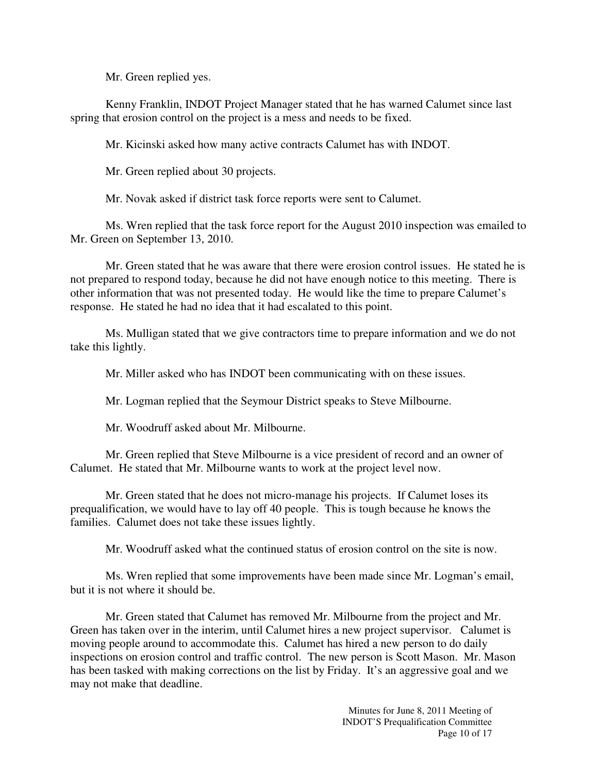Mr. Green replied yes.

Kenny Franklin, INDOT Project Manager stated that he has warned Calumet since last spring that erosion control on the project is a mess and needs to be fixed.

Mr. Kicinski asked how many active contracts Calumet has with INDOT.

Mr. Green replied about 30 projects.

Mr. Novak asked if district task force reports were sent to Calumet.

Ms. Wren replied that the task force report for the August 2010 inspection was emailed to Mr. Green on September 13, 2010.

Mr. Green stated that he was aware that there were erosion control issues. He stated he is not prepared to respond today, because he did not have enough notice to this meeting. There is other information that was not presented today. He would like the time to prepare Calumet's response. He stated he had no idea that it had escalated to this point.

Ms. Mulligan stated that we give contractors time to prepare information and we do not take this lightly.

Mr. Miller asked who has INDOT been communicating with on these issues.

Mr. Logman replied that the Seymour District speaks to Steve Milbourne.

Mr. Woodruff asked about Mr. Milbourne.

Mr. Green replied that Steve Milbourne is a vice president of record and an owner of Calumet. He stated that Mr. Milbourne wants to work at the project level now.

Mr. Green stated that he does not micro-manage his projects. If Calumet loses its prequalification, we would have to lay off 40 people. This is tough because he knows the families. Calumet does not take these issues lightly.

Mr. Woodruff asked what the continued status of erosion control on the site is now.

Ms. Wren replied that some improvements have been made since Mr. Logman's email, but it is not where it should be.

Mr. Green stated that Calumet has removed Mr. Milbourne from the project and Mr. Green has taken over in the interim, until Calumet hires a new project supervisor. Calumet is moving people around to accommodate this. Calumet has hired a new person to do daily inspections on erosion control and traffic control. The new person is Scott Mason. Mr. Mason has been tasked with making corrections on the list by Friday. It's an aggressive goal and we may not make that deadline.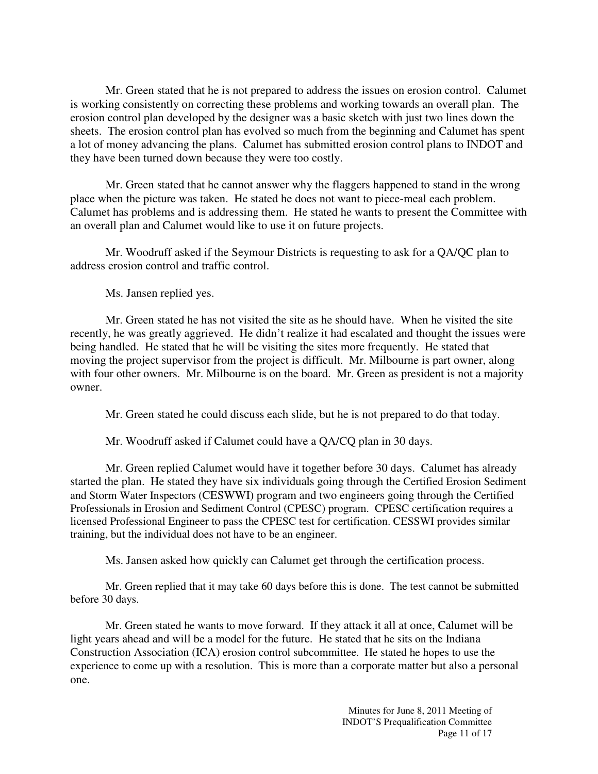Mr. Green stated that he is not prepared to address the issues on erosion control. Calumet is working consistently on correcting these problems and working towards an overall plan. The erosion control plan developed by the designer was a basic sketch with just two lines down the sheets. The erosion control plan has evolved so much from the beginning and Calumet has spent a lot of money advancing the plans. Calumet has submitted erosion control plans to INDOT and they have been turned down because they were too costly.

Mr. Green stated that he cannot answer why the flaggers happened to stand in the wrong place when the picture was taken. He stated he does not want to piece-meal each problem. Calumet has problems and is addressing them. He stated he wants to present the Committee with an overall plan and Calumet would like to use it on future projects.

Mr. Woodruff asked if the Seymour Districts is requesting to ask for a QA/QC plan to address erosion control and traffic control.

Ms. Jansen replied yes.

Mr. Green stated he has not visited the site as he should have. When he visited the site recently, he was greatly aggrieved. He didn't realize it had escalated and thought the issues were being handled. He stated that he will be visiting the sites more frequently. He stated that moving the project supervisor from the project is difficult. Mr. Milbourne is part owner, along with four other owners. Mr. Milbourne is on the board. Mr. Green as president is not a majority owner.

Mr. Green stated he could discuss each slide, but he is not prepared to do that today.

Mr. Woodruff asked if Calumet could have a QA/CQ plan in 30 days.

Mr. Green replied Calumet would have it together before 30 days. Calumet has already started the plan. He stated they have six individuals going through the Certified Erosion Sediment and Storm Water Inspectors (CESWWI) program and two engineers going through the Certified Professionals in Erosion and Sediment Control (CPESC) program. CPESC certification requires a licensed Professional Engineer to pass the CPESC test for certification. CESSWI provides similar training, but the individual does not have to be an engineer.

Ms. Jansen asked how quickly can Calumet get through the certification process.

Mr. Green replied that it may take 60 days before this is done. The test cannot be submitted before 30 days.

Mr. Green stated he wants to move forward. If they attack it all at once, Calumet will be light years ahead and will be a model for the future. He stated that he sits on the Indiana Construction Association (ICA) erosion control subcommittee. He stated he hopes to use the experience to come up with a resolution. This is more than a corporate matter but also a personal one.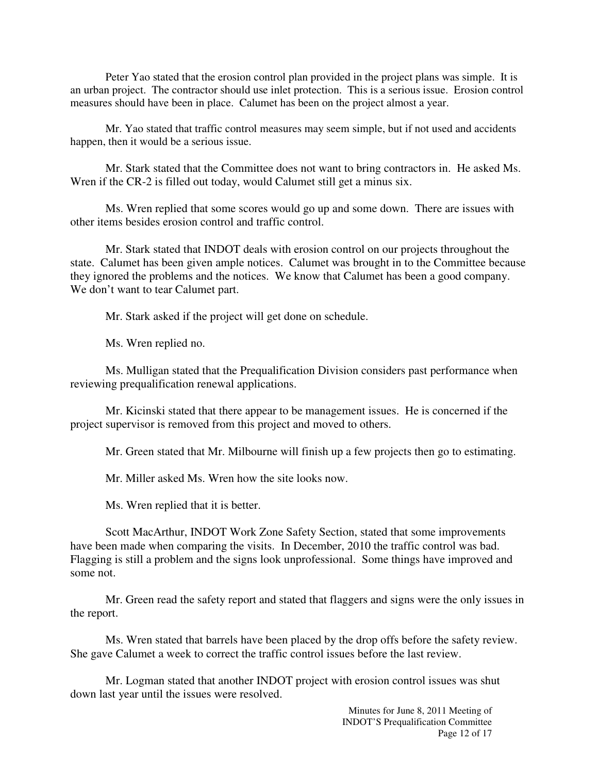Peter Yao stated that the erosion control plan provided in the project plans was simple. It is an urban project. The contractor should use inlet protection. This is a serious issue. Erosion control measures should have been in place. Calumet has been on the project almost a year.

Mr. Yao stated that traffic control measures may seem simple, but if not used and accidents happen, then it would be a serious issue.

Mr. Stark stated that the Committee does not want to bring contractors in. He asked Ms. Wren if the CR-2 is filled out today, would Calumet still get a minus six.

Ms. Wren replied that some scores would go up and some down. There are issues with other items besides erosion control and traffic control.

Mr. Stark stated that INDOT deals with erosion control on our projects throughout the state. Calumet has been given ample notices. Calumet was brought in to the Committee because they ignored the problems and the notices. We know that Calumet has been a good company. We don't want to tear Calumet part.

Mr. Stark asked if the project will get done on schedule.

Ms. Wren replied no.

Ms. Mulligan stated that the Prequalification Division considers past performance when reviewing prequalification renewal applications.

Mr. Kicinski stated that there appear to be management issues. He is concerned if the project supervisor is removed from this project and moved to others.

Mr. Green stated that Mr. Milbourne will finish up a few projects then go to estimating.

Mr. Miller asked Ms. Wren how the site looks now.

Ms. Wren replied that it is better.

Scott MacArthur, INDOT Work Zone Safety Section, stated that some improvements have been made when comparing the visits. In December, 2010 the traffic control was bad. Flagging is still a problem and the signs look unprofessional. Some things have improved and some not.

Mr. Green read the safety report and stated that flaggers and signs were the only issues in the report.

Ms. Wren stated that barrels have been placed by the drop offs before the safety review. She gave Calumet a week to correct the traffic control issues before the last review.

Mr. Logman stated that another INDOT project with erosion control issues was shut down last year until the issues were resolved.

> Minutes for June 8, 2011 Meeting of INDOT'S Prequalification Committee Page 12 of 17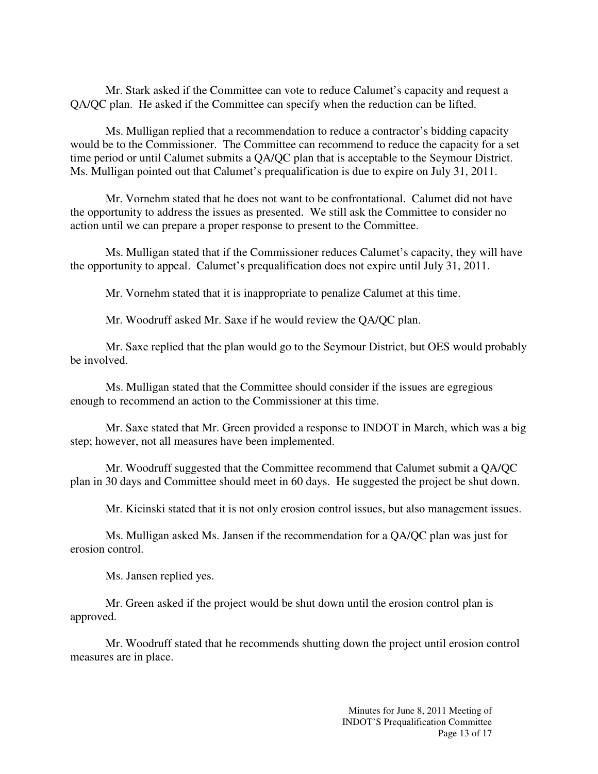Mr. Stark asked if the Committee can vote to reduce Calumet's capacity and request a QA/QC plan. He asked if the Committee can specify when the reduction can be lifted.

Ms. Mulligan replied that a recommendation to reduce a contractor's bidding capacity would be to the Commissioner. The Committee can recommend to reduce the capacity for a set time period or until Calumet submits a QA/QC plan that is acceptable to the Seymour District. Ms. Mulligan pointed out that Calumet's prequalification is due to expire on July 31, 2011.

Mr. Vornehm stated that he does not want to be confrontational. Calumet did not have the opportunity to address the issues as presented. We still ask the Committee to consider no action until we can prepare a proper response to present to the Committee.

Ms. Mulligan stated that if the Commissioner reduces Calumet's capacity, they will have the opportunity to appeal. Calumet's prequalification does not expire until July 31, 2011.

Mr. Vornehm stated that it is inappropriate to penalize Calumet at this time.

Mr. Woodruff asked Mr. Saxe if he would review the QA/QC plan.

Mr. Saxe replied that the plan would go to the Seymour District, but OES would probably be involved.

Ms. Mulligan stated that the Committee should consider if the issues are egregious enough to recommend an action to the Commissioner at this time.

Mr. Saxe stated that Mr. Green provided a response to INDOT in March, which was a big step; however, not all measures have been implemented.

Mr. Woodruff suggested that the Committee recommend that Calumet submit a QA/QC plan in 30 days and Committee should meet in 60 days. He suggested the project be shut down.

Mr. Kicinski stated that it is not only erosion control issues, but also management issues.

Ms. Mulligan asked Ms. Jansen if the recommendation for a QA/QC plan was just for erosion control.

Ms. Jansen replied yes.

Mr. Green asked if the project would be shut down until the erosion control plan is approved.

Mr. Woodruff stated that he recommends shutting down the project until erosion control measures are in place.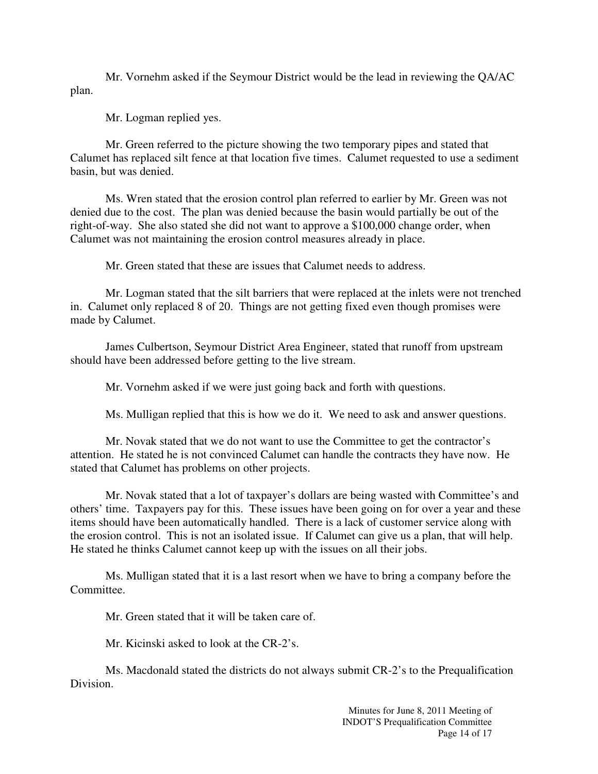Mr. Vornehm asked if the Seymour District would be the lead in reviewing the QA/AC plan.

Mr. Logman replied yes.

Mr. Green referred to the picture showing the two temporary pipes and stated that Calumet has replaced silt fence at that location five times. Calumet requested to use a sediment basin, but was denied.

Ms. Wren stated that the erosion control plan referred to earlier by Mr. Green was not denied due to the cost. The plan was denied because the basin would partially be out of the right-of-way. She also stated she did not want to approve a \$100,000 change order, when Calumet was not maintaining the erosion control measures already in place.

Mr. Green stated that these are issues that Calumet needs to address.

Mr. Logman stated that the silt barriers that were replaced at the inlets were not trenched in. Calumet only replaced 8 of 20. Things are not getting fixed even though promises were made by Calumet.

James Culbertson, Seymour District Area Engineer, stated that runoff from upstream should have been addressed before getting to the live stream.

Mr. Vornehm asked if we were just going back and forth with questions.

Ms. Mulligan replied that this is how we do it. We need to ask and answer questions.

Mr. Novak stated that we do not want to use the Committee to get the contractor's attention. He stated he is not convinced Calumet can handle the contracts they have now. He stated that Calumet has problems on other projects.

Mr. Novak stated that a lot of taxpayer's dollars are being wasted with Committee's and others' time. Taxpayers pay for this. These issues have been going on for over a year and these items should have been automatically handled. There is a lack of customer service along with the erosion control. This is not an isolated issue. If Calumet can give us a plan, that will help. He stated he thinks Calumet cannot keep up with the issues on all their jobs.

Ms. Mulligan stated that it is a last resort when we have to bring a company before the Committee.

Mr. Green stated that it will be taken care of.

Mr. Kicinski asked to look at the CR-2's.

Ms. Macdonald stated the districts do not always submit CR-2's to the Prequalification Division.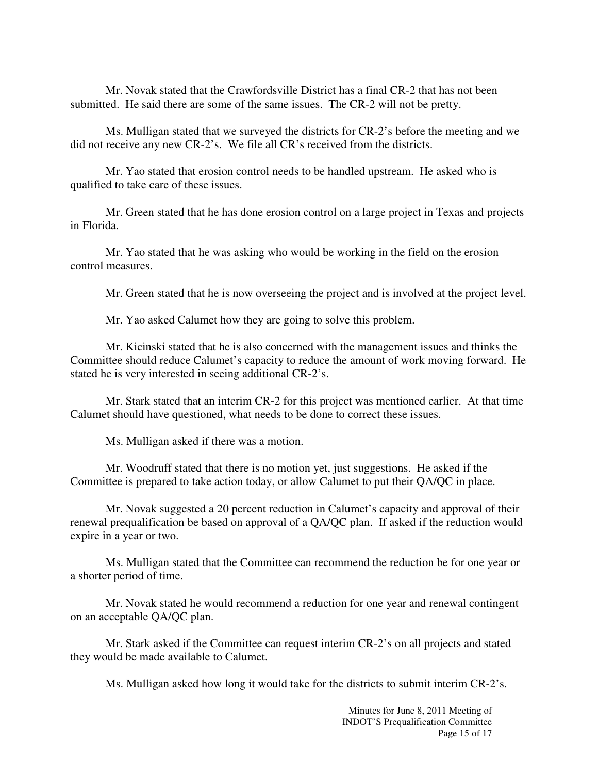Mr. Novak stated that the Crawfordsville District has a final CR-2 that has not been submitted. He said there are some of the same issues. The CR-2 will not be pretty.

Ms. Mulligan stated that we surveyed the districts for CR-2's before the meeting and we did not receive any new CR-2's. We file all CR's received from the districts.

Mr. Yao stated that erosion control needs to be handled upstream. He asked who is qualified to take care of these issues.

Mr. Green stated that he has done erosion control on a large project in Texas and projects in Florida.

Mr. Yao stated that he was asking who would be working in the field on the erosion control measures.

Mr. Green stated that he is now overseeing the project and is involved at the project level.

Mr. Yao asked Calumet how they are going to solve this problem.

Mr. Kicinski stated that he is also concerned with the management issues and thinks the Committee should reduce Calumet's capacity to reduce the amount of work moving forward. He stated he is very interested in seeing additional CR-2's.

Mr. Stark stated that an interim CR-2 for this project was mentioned earlier. At that time Calumet should have questioned, what needs to be done to correct these issues.

Ms. Mulligan asked if there was a motion.

Mr. Woodruff stated that there is no motion yet, just suggestions. He asked if the Committee is prepared to take action today, or allow Calumet to put their QA/QC in place.

Mr. Novak suggested a 20 percent reduction in Calumet's capacity and approval of their renewal prequalification be based on approval of a QA/QC plan. If asked if the reduction would expire in a year or two.

Ms. Mulligan stated that the Committee can recommend the reduction be for one year or a shorter period of time.

Mr. Novak stated he would recommend a reduction for one year and renewal contingent on an acceptable QA/QC plan.

Mr. Stark asked if the Committee can request interim CR-2's on all projects and stated they would be made available to Calumet.

Ms. Mulligan asked how long it would take for the districts to submit interim CR-2's.

Minutes for June 8, 2011 Meeting of INDOT'S Prequalification Committee Page 15 of 17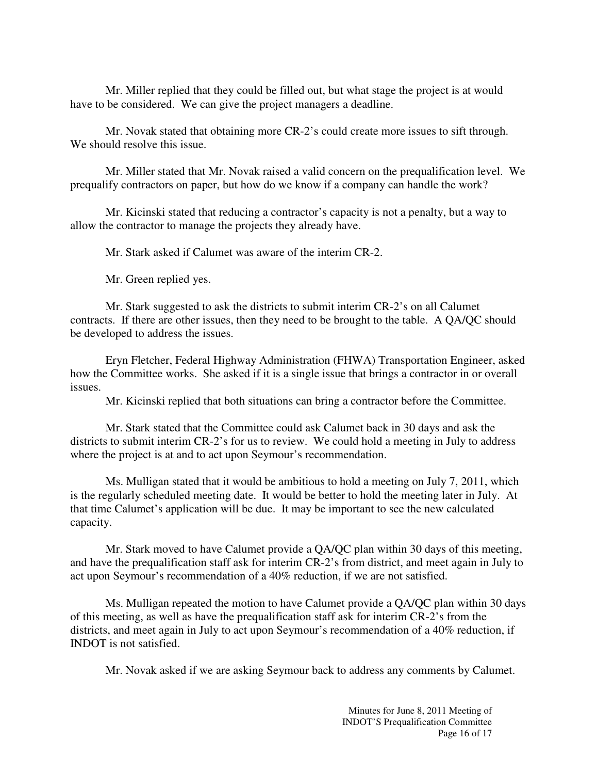Mr. Miller replied that they could be filled out, but what stage the project is at would have to be considered. We can give the project managers a deadline.

Mr. Novak stated that obtaining more CR-2's could create more issues to sift through. We should resolve this issue.

Mr. Miller stated that Mr. Novak raised a valid concern on the prequalification level. We prequalify contractors on paper, but how do we know if a company can handle the work?

Mr. Kicinski stated that reducing a contractor's capacity is not a penalty, but a way to allow the contractor to manage the projects they already have.

Mr. Stark asked if Calumet was aware of the interim CR-2.

Mr. Green replied yes.

Mr. Stark suggested to ask the districts to submit interim CR-2's on all Calumet contracts. If there are other issues, then they need to be brought to the table. A QA/QC should be developed to address the issues.

Eryn Fletcher, Federal Highway Administration (FHWA) Transportation Engineer, asked how the Committee works. She asked if it is a single issue that brings a contractor in or overall issues.

Mr. Kicinski replied that both situations can bring a contractor before the Committee.

Mr. Stark stated that the Committee could ask Calumet back in 30 days and ask the districts to submit interim CR-2's for us to review. We could hold a meeting in July to address where the project is at and to act upon Seymour's recommendation.

Ms. Mulligan stated that it would be ambitious to hold a meeting on July 7, 2011, which is the regularly scheduled meeting date. It would be better to hold the meeting later in July. At that time Calumet's application will be due. It may be important to see the new calculated capacity.

Mr. Stark moved to have Calumet provide a QA/QC plan within 30 days of this meeting, and have the prequalification staff ask for interim CR-2's from district, and meet again in July to act upon Seymour's recommendation of a 40% reduction, if we are not satisfied.

Ms. Mulligan repeated the motion to have Calumet provide a QA/QC plan within 30 days of this meeting, as well as have the prequalification staff ask for interim CR-2's from the districts, and meet again in July to act upon Seymour's recommendation of a 40% reduction, if INDOT is not satisfied.

Mr. Novak asked if we are asking Seymour back to address any comments by Calumet.